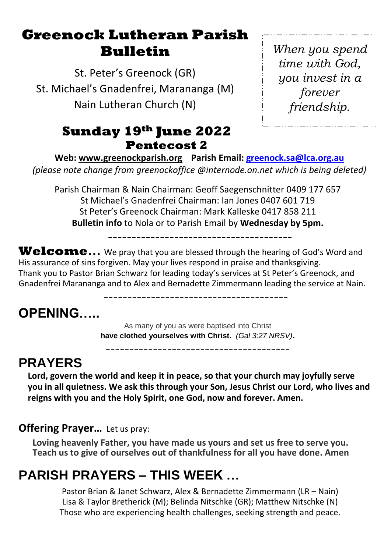# **Greenock Lutheran Parish Bulletin**

St. Peter's Greenock (GR) St. Michael's Gnadenfrei, Marananga (M) Nain Lutheran Church (N)

## **Sunday 19th June 2022 Pentecost 2**

*When you spend time with God, you invest in a forever friendship.*

**Web: [www.greenockparish.org](http://www.greenockparish.org/) Parish Email: [greenock.sa@lca.org.au](mailto:greenock.sa@lca.org.au)** *(please note change from greenockoffice @internode.on.net which is being deleted)*

Parish Chairman & Nain Chairman: Geoff Saegenschnitter 0409 177 657 St Michael's Gnadenfrei Chairman: Ian Jones 0407 601 719 St Peter's Greenock Chairman: Mark Kalleske 0417 858 211 **Bulletin info** to Nola or to Parish Email by **Wednesday by 5pm.**

---------------------------------------

Welcome... We pray that you are blessed through the hearing of God's Word and His assurance of sins forgiven. May your lives respond in praise and thanksgiving. Thank you to Pastor Brian Schwarz for leading today's services at St Peter's Greenock, and Gnadenfrei Marananga and to Alex and Bernadette Zimmermann leading the service at Nain.

---------------------------------------

# **OPENING…..**

As many of you as were baptised into Christ **have clothed yourselves with Christ.** *(Gal 3:27 NRSV)***.**

---------------------------------------

# **PRAYERS**

**Lord, govern the world and keep it in peace, so that your church may joyfully serve you in all quietness. We ask this through your Son, Jesus Christ our Lord, who lives and reigns with you and the Holy Spirit, one God, now and forever. Amen.**

### **Offering Prayer…** Let us pray:

**Loving heavenly Father, you have made us yours and set us free to serve you. Teach us to give of ourselves out of thankfulness for all you have done. Amen**

# **PARISH PRAYERS – THIS WEEK …**

Pastor Brian & Janet Schwarz, Alex & Bernadette Zimmermann (LR – Nain) Lisa & Taylor Bretherick (M); Belinda Nitschke (GR); Matthew Nitschke (N) Those who are experiencing health challenges, seeking strength and peace.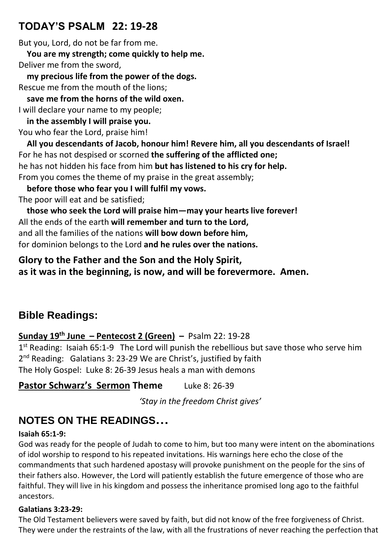## **TODAY'S PSALM 22: 19-28**

But you, Lord, do not be far from me.

 **You are my strength; come quickly to help me.** Deliver me from the sword,

 **my precious life from the power of the dogs.** Rescue me from the mouth of the lions;

 **save me from the horns of the wild oxen.** I will declare your name to my people;

 **in the assembly I will praise you.** You who fear the Lord, praise him!

 **All you descendants of Jacob, honour him! Revere him, all you descendants of Israel!** For he has not despised or scorned **the suffering of the afflicted one;** he has not hidden his face from him **but has listened to his cry for help.** From you comes the theme of my praise in the great assembly;

 **before those who fear you I will fulfil my vows.** The poor will eat and be satisfied;

 **those who seek the Lord will praise him—may your hearts live forever!** All the ends of the earth **will remember and turn to the Lord,** and all the families of the nations **will bow down before him,** for dominion belongs to the Lord **and he rules over the nations.**

### **Glory to the Father and the Son and the Holy Spirit, as it was in the beginning, is now, and will be forevermore. Amen.**

## **Bible Readings:**

## **Sunday 19 th June – Pentecost 2 (Green) –** Psalm 22: 19-28

1<sup>st</sup> Reading: Isaiah 65:1-9 The Lord will punish the rebellious but save those who serve him 2<sup>nd</sup> Reading: Galatians 3: 23-29 We are Christ's, justified by faith The Holy Gospel: Luke 8: 26-39 Jesus heals a man with demons

## **Pastor Schwarz's Sermon Theme** Luke 8: 26-39

*'Stay in the freedom Christ gives'*

# **NOTES ON THE READINGS…**

#### **Isaiah 65:1-9:**

God was ready for the people of Judah to come to him, but too many were intent on the abominations of idol worship to respond to his repeated invitations. His warnings here echo the close of the commandments that such hardened apostasy will provoke punishment on the people for the sins of their fathers also. However, the Lord will patiently establish the future emergence of those who are faithful. They will live in his kingdom and possess the inheritance promised long ago to the faithful ancestors.

#### **Galatians 3:23-29:**

The Old Testament believers were saved by faith, but did not know of the free forgiveness of Christ. They were under the restraints of the law, with all the frustrations of never reaching the perfection that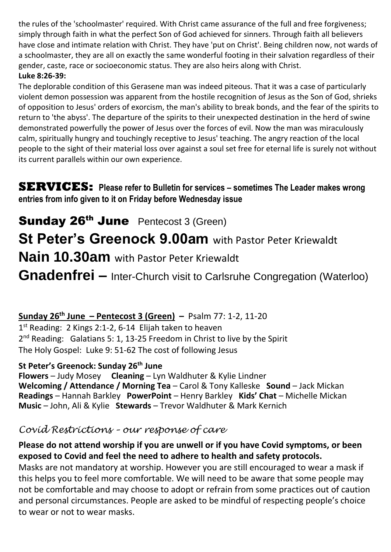the rules of the 'schoolmaster' required. With Christ came assurance of the full and free forgiveness; simply through faith in what the perfect Son of God achieved for sinners. Through faith all believers have close and intimate relation with Christ. They have 'put on Christ'. Being children now, not wards of a schoolmaster, they are all on exactly the same wonderful footing in their salvation regardless of their gender, caste, race or socioeconomic status. They are also heirs along with Christ. **Luke 8:26-39:**

#### The deplorable condition of this Gerasene man was indeed piteous. That it was a case of particularly violent demon possession was apparent from the hostile recognition of Jesus as the Son of God, shrieks of opposition to Jesus' orders of exorcism, the man's ability to break bonds, and the fear of the spirits to return to 'the abyss'. The departure of the spirits to their unexpected destination in the herd of swine demonstrated powerfully the power of Jesus over the forces of evil. Now the man was miraculously calm, spiritually hungry and touchingly receptive to Jesus' teaching. The angry reaction of the local people to the sight of their material loss over against a soul set free for eternal life is surely not without its current parallels within our own experience.

**SERVICES: Please refer to Bulletin for services – sometimes The Leader makes wrong entries from info given to it on Friday before Wednesday issue**

Sunday 26<sup>th</sup> June Pentecost 3 (Green) **St Peter's Greenock 9.00am** with Pastor Peter Kriewaldt **Nain 10.30am** with Pastor Peter Kriewaldt **Gnadenfrei –** Inter-Church visit to Carlsruhe Congregation (Waterloo)

### **Sunday 26th June – Pentecost 3 (Green) –** Psalm 77: 1-2, 11-20

1<sup>st</sup> Reading: 2 Kings 2:1-2, 6-14 Elijah taken to heaven 2<sup>nd</sup> Reading: Galatians 5: 1, 13-25 Freedom in Christ to live by the Spirit The Holy Gospel: Luke 9: 51-62 The cost of following Jesus

#### **St Peter's Greenock: Sunday 26th June**

**Flowers** – Judy Mosey **Cleaning** – Lyn Waldhuter & Kylie Lindner **Welcoming / Attendance / Morning Tea** – Carol & Tony Kalleske **Sound** – Jack Mickan **Readings** – Hannah Barkley **PowerPoint** – Henry Barkley **Kids' Chat** – Michelle Mickan **Music** – John, Ali & Kylie **Stewards** – Trevor Waldhuter & Mark Kernich

### *Covid Restrictions – our response of care*

#### **Please do not attend worship if you are unwell or if you have Covid symptoms, or been exposed to Covid and feel the need to adhere to health and safety protocols.**

Masks are not mandatory at worship. However you are still encouraged to wear a mask if this helps you to feel more comfortable. We will need to be aware that some people may not be comfortable and may choose to adopt or refrain from some practices out of caution and personal circumstances. People are asked to be mindful of respecting people's choice to wear or not to wear masks.